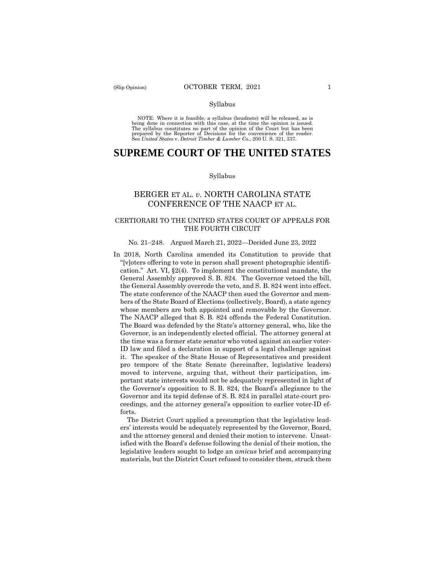#### Syllabus

 NOTE: Where it is feasible, a syllabus (headnote) will be released, as is being done in connection with this case, at the time the opinion is issued. The syllabus constitutes no part of the opinion of the Court but has been<br>prepared by the Reporter of Decisions for the convenience of the reader.<br>See United States v. Detroit Timber & Lumber Co., 200 U.S. 321, 337.

# **SUPREME COURT OF THE UNITED STATES**

#### Syllabus

# BERGER ET AL. *v*. NORTH CAROLINA STATE CONFERENCE OF THE NAACP ET AL.

## CERTIORARI TO THE UNITED STATES COURT OF APPEALS FOR THE FOURTH CIRCUIT

#### No. 21–248. Argued March 21, 2022—Decided June 23, 2022

In 2018, North Carolina amended its Constitution to provide that "[v]oters offering to vote in person shall present photographic identification." Art. VI, §2(4). To implement the constitutional mandate, the General Assembly approved S. B. 824. The Governor vetoed the bill, the General Assembly overrode the veto, and S. B. 824 went into effect. The state conference of the NAACP then sued the Governor and members of the State Board of Elections (collectively, Board), a state agency whose members are both appointed and removable by the Governor. The NAACP alleged that S. B. 824 offends the Federal Constitution. The Board was defended by the State's attorney general, who, like the Governor, is an independently elected official. The attorney general at the time was a former state senator who voted against an earlier voter-ID law and filed a declaration in support of a legal challenge against it. The speaker of the State House of Representatives and president pro tempore of the State Senate (hereinafter, legislative leaders) moved to intervene, arguing that, without their participation, important state interests would not be adequately represented in light of the Governor's opposition to S. B. 824, the Board's allegiance to the Governor and its tepid defense of S. B. 824 in parallel state-court proceedings, and the attorney general's opposition to earlier voter-ID efforts.

The District Court applied a presumption that the legislative leaders' interests would be adequately represented by the Governor, Board, and the attorney general and denied their motion to intervene. Unsatisfied with the Board's defense following the denial of their motion, the legislative leaders sought to lodge an *amicus* brief and accompanying materials, but the District Court refused to consider them, struck them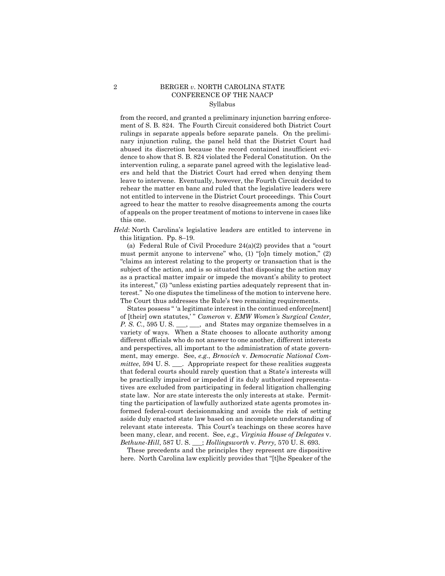# 2 BERGER *v*. NORTH CAROLINA STATE CONFERENCE OF THE NAACP Syllabus

from the record, and granted a preliminary injunction barring enforcement of S. B. 824. The Fourth Circuit considered both District Court rulings in separate appeals before separate panels. On the preliminary injunction ruling, the panel held that the District Court had abused its discretion because the record contained insufficient evidence to show that S. B. 824 violated the Federal Constitution. On the intervention ruling, a separate panel agreed with the legislative leaders and held that the District Court had erred when denying them leave to intervene. Eventually, however, the Fourth Circuit decided to rehear the matter en banc and ruled that the legislative leaders were not entitled to intervene in the District Court proceedings. This Court agreed to hear the matter to resolve disagreements among the courts of appeals on the proper treatment of motions to intervene in cases like this one.

*Held*: North Carolina's legislative leaders are entitled to intervene in this litigation. Pp. 8–19.

(a) Federal Rule of Civil Procedure 24(a)(2) provides that a "court must permit anyone to intervene" who, (1) "[o]n timely motion," (2) "claims an interest relating to the property or transaction that is the subject of the action, and is so situated that disposing the action may as a practical matter impair or impede the movant's ability to protect its interest," (3) "unless existing parties adequately represent that interest." No one disputes the timeliness of the motion to intervene here. The Court thus addresses the Rule's two remaining requirements.

States possess " 'a legitimate interest in the continued enforce[ment] of [their] own statutes,' " *Cameron* v. *EMW Women's Surgical Center, P. S. C.*, 595 U. S. \_\_\_, \_\_, and States may organize themselves in a variety of ways. When a State chooses to allocate authority among different officials who do not answer to one another, different interests and perspectives, all important to the administration of state government, may emerge. See, *e.g.*, *Brnovich* v. *Democratic National Committee*, 594 U.S. \_\_\_. Appropriate respect for these realities suggests that federal courts should rarely question that a State's interests will be practically impaired or impeded if its duly authorized representatives are excluded from participating in federal litigation challenging state law. Nor are state interests the only interests at stake. Permitting the participation of lawfully authorized state agents promotes informed federal-court decisionmaking and avoids the risk of setting aside duly enacted state law based on an incomplete understanding of relevant state interests. This Court's teachings on these scores have been many, clear, and recent. See, *e.g., Virginia House of Delegates* v. *Bethune-Hill*, 587 U. S. \_\_\_; *Hollingsworth* v. *Perry,* 570 U. S. 693.

These precedents and the principles they represent are dispositive here. North Carolina law explicitly provides that "[t]he Speaker of the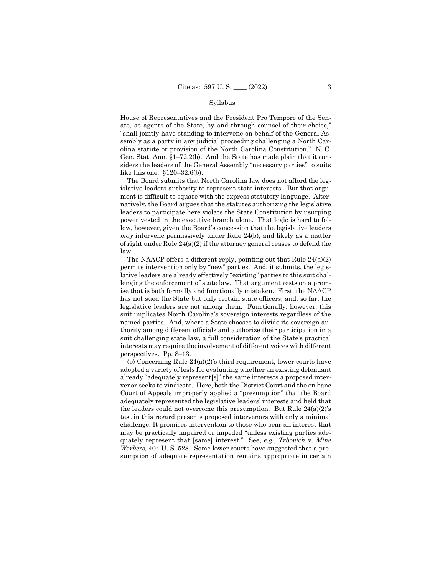#### Syllabus

House of Representatives and the President Pro Tempore of the Senate, as agents of the State, by and through counsel of their choice," "shall jointly have standing to intervene on behalf of the General Assembly as a party in any judicial proceeding challenging a North Carolina statute or provision of the North Carolina Constitution." N. C. Gen. Stat. Ann. §1–72.2(b). And the State has made plain that it considers the leaders of the General Assembly "necessary parties" to suits like this one. §120–32.6(b).

The Board submits that North Carolina law does not afford the legislative leaders authority to represent state interests. But that argument is difficult to square with the express statutory language. Alternatively, the Board argues that the statutes authorizing the legislative leaders to participate here violate the State Constitution by usurping power vested in the executive branch alone. That logic is hard to follow, however, given the Board's concession that the legislative leaders *may* intervene permissively under Rule 24(b), and likely as a matter of right under Rule 24(a)(2) if the attorney general ceases to defend the law.

The NAACP offers a different reply, pointing out that Rule 24(a)(2) permits intervention only by "new" parties. And, it submits, the legislative leaders are already effectively "existing" parties to this suit challenging the enforcement of state law. That argument rests on a premise that is both formally and functionally mistaken. First, the NAACP has not sued the State but only certain state officers, and, so far, the legislative leaders are not among them. Functionally, however, this suit implicates North Carolina's sovereign interests regardless of the named parties. And, where a State chooses to divide its sovereign authority among different officials and authorize their participation in a suit challenging state law, a full consideration of the State's practical interests may require the involvement of different voices with different perspectives. Pp. 8–13.

(b) Concerning Rule 24(a)(2)'s third requirement, lower courts have adopted a variety of tests for evaluating whether an existing defendant already "adequately represent[s]" the same interests a proposed intervenor seeks to vindicate. Here, both the District Court and the en banc Court of Appeals improperly applied a "presumption" that the Board adequately represented the legislative leaders' interests and held that the leaders could not overcome this presumption. But Rule  $24(a)(2)$ 's test in this regard presents proposed intervenors with only a minimal challenge: It promises intervention to those who bear an interest that may be practically impaired or impeded "unless existing parties adequately represent that [same] interest." See, *e.g., Trbovich* v. *Mine Workers,* 404 U. S. 528. Some lower courts have suggested that a presumption of adequate representation remains appropriate in certain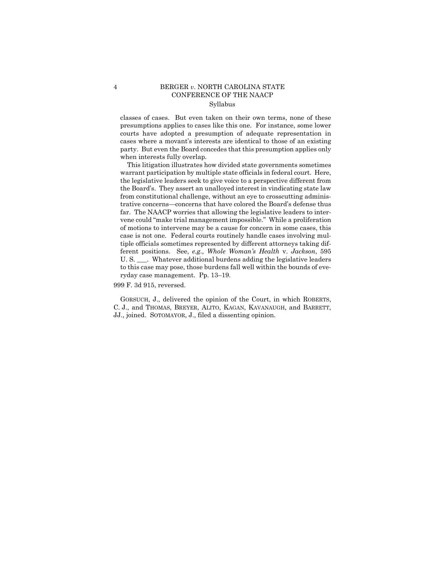### 4 BERGER *v*. NORTH CAROLINA STATE CONFERENCE OF THE NAACP Syllabus

classes of cases. But even taken on their own terms, none of these presumptions applies to cases like this one. For instance, some lower courts have adopted a presumption of adequate representation in cases where a movant's interests are identical to those of an existing party. But even the Board concedes that this presumption applies only when interests fully overlap.

This litigation illustrates how divided state governments sometimes warrant participation by multiple state officials in federal court. Here, the legislative leaders seek to give voice to a perspective different from the Board's. They assert an unalloyed interest in vindicating state law from constitutional challenge, without an eye to crosscutting administrative concerns—concerns that have colored the Board's defense thus far. The NAACP worries that allowing the legislative leaders to intervene could "make trial management impossible." While a proliferation of motions to intervene may be a cause for concern in some cases, this case is not one. Federal courts routinely handle cases involving multiple officials sometimes represented by different attorneys taking different positions. See, *e.g., Whole Woman's Health* v. *Jackson*, 595 U. S. \_\_\_. Whatever additional burdens adding the legislative leaders to this case may pose, those burdens fall well within the bounds of everyday case management. Pp. 13–19.

#### 999 F. 3d 915, reversed.

GORSUCH, J., delivered the opinion of the Court, in which ROBERTS, C. J., and THOMAS, BREYER, ALITO, KAGAN, KAVANAUGH, and BARRETT, JJ., joined. SOTOMAYOR, J., filed a dissenting opinion.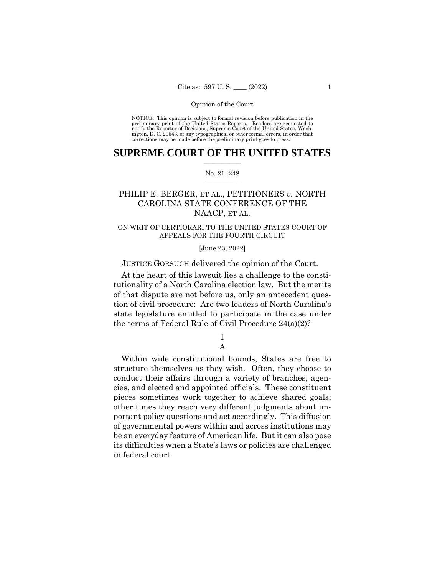NOTICE: This opinion is subject to formal revision before publication in the preliminary print of the United States Reports. Readers are requested to notify the Reporter of Decisions, Supreme Court of the United States, Wash-ington, D. C. 20543, of any typographical or other formal errors, in order that corrections may be made before the preliminary print goes to press.

### $\frac{1}{2}$  ,  $\frac{1}{2}$  ,  $\frac{1}{2}$  ,  $\frac{1}{2}$  ,  $\frac{1}{2}$  ,  $\frac{1}{2}$  ,  $\frac{1}{2}$ **SUPREME COURT OF THE UNITED STATES**

#### $\frac{1}{2}$  ,  $\frac{1}{2}$  ,  $\frac{1}{2}$  ,  $\frac{1}{2}$  ,  $\frac{1}{2}$  ,  $\frac{1}{2}$ No. 21–248

# PHILIP E. BERGER, ET AL., PETITIONERS *v.* NORTH CAROLINA STATE CONFERENCE OF THE NAACP, ET AL.

## ON WRIT OF CERTIORARI TO THE UNITED STATES COURT OF APPEALS FOR THE FOURTH CIRCUIT

[June 23, 2022]

JUSTICE GORSUCH delivered the opinion of the Court.

At the heart of this lawsuit lies a challenge to the constitutionality of a North Carolina election law. But the merits of that dispute are not before us, only an antecedent question of civil procedure: Are two leaders of North Carolina's state legislature entitled to participate in the case under the terms of Federal Rule of Civil Procedure 24(a)(2)?

# I A

Within wide constitutional bounds, States are free to structure themselves as they wish. Often, they choose to conduct their affairs through a variety of branches, agencies, and elected and appointed officials. These constituent pieces sometimes work together to achieve shared goals; other times they reach very different judgments about important policy questions and act accordingly. This diffusion of governmental powers within and across institutions may be an everyday feature of American life. But it can also pose its difficulties when a State's laws or policies are challenged in federal court.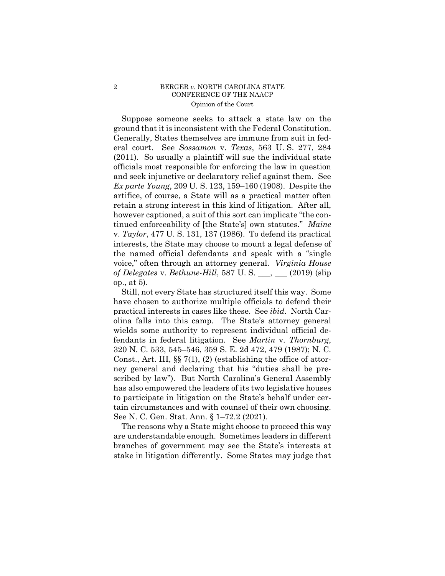### 2 BERGER *v*. NORTH CAROLINA STATE CONFERENCE OF THE NAACP Opinion of the Court

Suppose someone seeks to attack a state law on the ground that it is inconsistent with the Federal Constitution. Generally, States themselves are immune from suit in federal court. See *Sossamon* v. *Texas*, 563 U. S. 277, 284 (2011). So usually a plaintiff will sue the individual state officials most responsible for enforcing the law in question and seek injunctive or declaratory relief against them. See *Ex parte Young*, 209 U. S. 123, 159–160 (1908). Despite the artifice, of course, a State will as a practical matter often retain a strong interest in this kind of litigation. After all, however captioned, a suit of this sort can implicate "the continued enforceability of [the State's] own statutes." *Maine*  v. *Taylor*, 477 U. S. 131, 137 (1986). To defend its practical interests, the State may choose to mount a legal defense of the named official defendants and speak with a "single voice," often through an attorney general. *Virginia House of Delegates* v. *Bethune-Hill*, 587 U. S. \_\_\_, \_\_\_ (2019) (slip op., at 5).

Still, not every State has structured itself this way. Some have chosen to authorize multiple officials to defend their practical interests in cases like these. See *ibid.* North Carolina falls into this camp. The State's attorney general wields some authority to represent individual official defendants in federal litigation. See *Martin* v. *Thornburg*, 320 N. C. 533, 545–546, 359 S. E. 2d 472, 479 (1987); N. C. Const., Art. III, §§ 7(1), (2) (establishing the office of attorney general and declaring that his "duties shall be prescribed by law"). But North Carolina's General Assembly has also empowered the leaders of its two legislative houses to participate in litigation on the State's behalf under certain circumstances and with counsel of their own choosing. See N. C. Gen. Stat. Ann. § 1–72.2 (2021).

The reasons why a State might choose to proceed this way are understandable enough. Sometimes leaders in different branches of government may see the State's interests at stake in litigation differently. Some States may judge that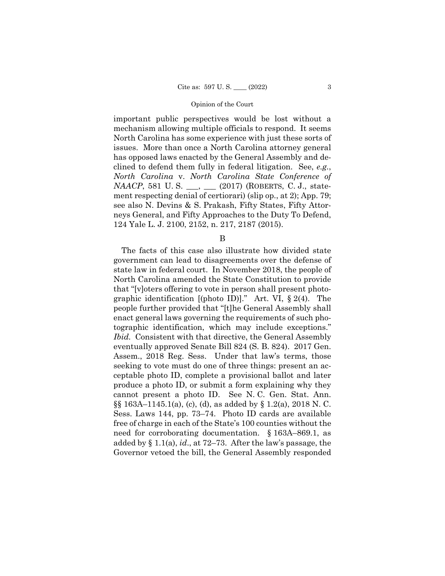important public perspectives would be lost without a mechanism allowing multiple officials to respond. It seems North Carolina has some experience with just these sorts of issues. More than once a North Carolina attorney general has opposed laws enacted by the General Assembly and declined to defend them fully in federal litigation. See, *e.g.*, *North Carolina* v. *North Carolina State Conference of NAACP*, 581 U.S. \_\_, \_\_ (2017) (ROBERTS, C.J., statement respecting denial of certiorari) (slip op., at 2); App. 79; see also N. Devins & S. Prakash, Fifty States, Fifty Attorneys General, and Fifty Approaches to the Duty To Defend, 124 Yale L. J. 2100, 2152, n. 217, 2187 (2015).

B

The facts of this case also illustrate how divided state government can lead to disagreements over the defense of state law in federal court. In November 2018, the people of North Carolina amended the State Constitution to provide that "[v]oters offering to vote in person shall present photographic identification  $[(photo ID)]$ ." Art. VI, § 2(4). The people further provided that "[t]he General Assembly shall enact general laws governing the requirements of such photographic identification, which may include exceptions." *Ibid.* Consistent with that directive, the General Assembly eventually approved Senate Bill 824 (S. B. 824). 2017 Gen. Assem., 2018 Reg. Sess. Under that law's terms, those seeking to vote must do one of three things: present an acceptable photo ID, complete a provisional ballot and later produce a photo ID, or submit a form explaining why they cannot present a photo ID. See N. C. Gen. Stat. Ann. §§ 163A–1145.1(a), (c), (d), as added by § 1.2(a), 2018 N. C. Sess. Laws 144, pp. 73–74. Photo ID cards are available free of charge in each of the State's 100 counties without the need for corroborating documentation. § 163A–869.1, as added by § 1.1(a), *id*., at 72–73. After the law's passage, the Governor vetoed the bill, the General Assembly responded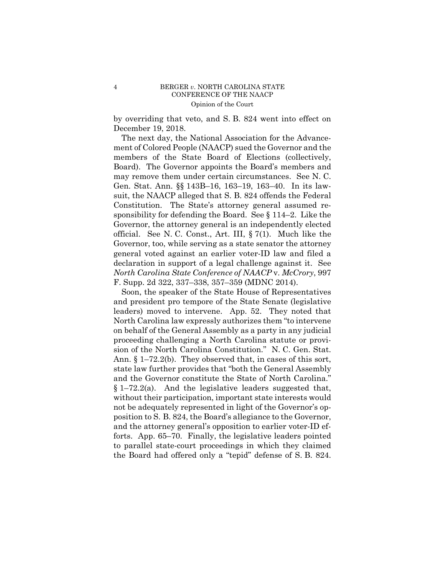by overriding that veto, and S. B. 824 went into effect on December 19, 2018.

The next day, the National Association for the Advancement of Colored People (NAACP) sued the Governor and the members of the State Board of Elections (collectively, Board). The Governor appoints the Board's members and may remove them under certain circumstances. See N. C. Gen. Stat. Ann. §§ 143B–16, 163–19, 163–40. In its lawsuit, the NAACP alleged that S. B. 824 offends the Federal Constitution. The State's attorney general assumed responsibility for defending the Board. See § 114–2. Like the Governor, the attorney general is an independently elected official. See N. C. Const., Art. III, § 7(1). Much like the Governor, too, while serving as a state senator the attorney general voted against an earlier voter-ID law and filed a declaration in support of a legal challenge against it. See *North Carolina State Conference of NAACP* v. *McCrory*, 997 F. Supp. 2d 322, 337–338, 357–359 (MDNC 2014).

Soon, the speaker of the State House of Representatives and president pro tempore of the State Senate (legislative leaders) moved to intervene. App. 52. They noted that North Carolina law expressly authorizes them "to intervene on behalf of the General Assembly as a party in any judicial proceeding challenging a North Carolina statute or provision of the North Carolina Constitution." N. C. Gen. Stat. Ann. § 1–72.2(b). They observed that, in cases of this sort, state law further provides that "both the General Assembly and the Governor constitute the State of North Carolina." § 1–72.2(a). And the legislative leaders suggested that, without their participation, important state interests would not be adequately represented in light of the Governor's opposition to S. B. 824, the Board's allegiance to the Governor, and the attorney general's opposition to earlier voter-ID efforts. App. 65–70. Finally, the legislative leaders pointed to parallel state-court proceedings in which they claimed the Board had offered only a "tepid" defense of S. B. 824.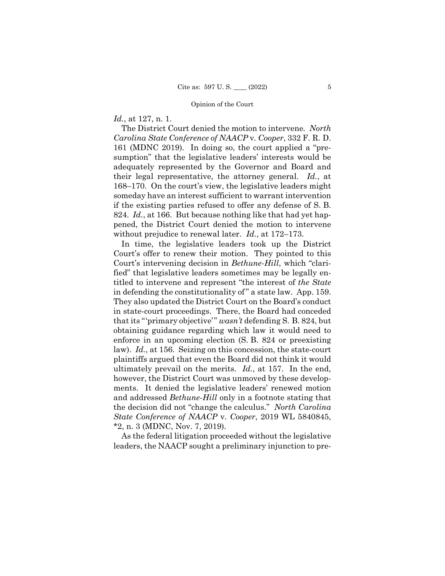# *Id.*, at 127, n. 1.

 The District Court denied the motion to intervene*. North Carolina State Conference of NAACP* v*. Cooper*, 332 F. R. D. 161 (MDNC 2019). In doing so, the court applied a "presumption" that the legislative leaders' interests would be adequately represented by the Governor and Board and their legal representative, the attorney general. *Id.*, at 168–170. On the court's view, the legislative leaders might someday have an interest sufficient to warrant intervention if the existing parties refused to offer any defense of S. B. 824. *Id.*, at 166. But because nothing like that had yet happened, the District Court denied the motion to intervene without prejudice to renewal later. *Id.*, at 172–173.

In time, the legislative leaders took up the District Court's offer to renew their motion. They pointed to this Court's intervening decision in *Bethune-Hill*, which "clarified" that legislative leaders sometimes may be legally entitled to intervene and represent "the interest of *the State*  in defending the constitutionality of " a state law. App. 159. They also updated the District Court on the Board's conduct in state-court proceedings. There, the Board had conceded that its "'primary objective'" *wasn't* defending S. B. 824, but obtaining guidance regarding which law it would need to enforce in an upcoming election (S. B. 824 or preexisting law). *Id.*, at 156. Seizing on this concession, the state-court plaintiffs argued that even the Board did not think it would ultimately prevail on the merits. *Id.*, at 157. In the end, however, the District Court was unmoved by these developments. It denied the legislative leaders' renewed motion and addressed *Bethune-Hill* only in a footnote stating that the decision did not "change the calculus." *North Carolina State Conference of NAACP* v. *Cooper*, 2019 WL 5840845, \*2, n. 3 (MDNC, Nov. 7, 2019).

As the federal litigation proceeded without the legislative leaders, the NAACP sought a preliminary injunction to pre-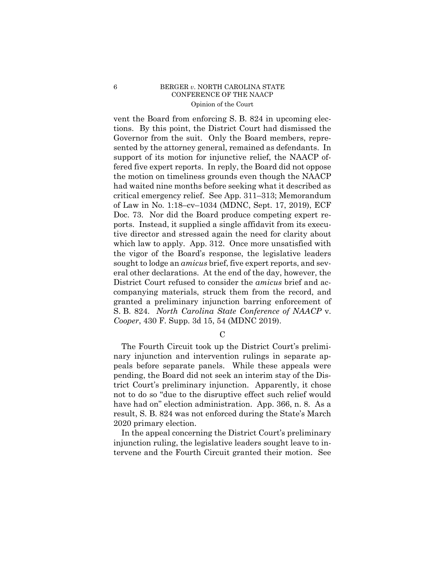### 6 BERGER *v*. NORTH CAROLINA STATE CONFERENCE OF THE NAACP Opinion of the Court

vent the Board from enforcing S. B. 824 in upcoming elections. By this point, the District Court had dismissed the Governor from the suit. Only the Board members, represented by the attorney general, remained as defendants. In support of its motion for injunctive relief, the NAACP offered five expert reports. In reply, the Board did not oppose the motion on timeliness grounds even though the NAACP had waited nine months before seeking what it described as critical emergency relief. See App. 311–313; Memorandum of Law in No. 1:18–cv–1034 (MDNC, Sept. 17, 2019), ECF Doc. 73. Nor did the Board produce competing expert reports. Instead, it supplied a single affidavit from its executive director and stressed again the need for clarity about which law to apply. App. 312. Once more unsatisfied with the vigor of the Board's response, the legislative leaders sought to lodge an *amicus* brief, five expert reports, and several other declarations. At the end of the day, however, the District Court refused to consider the *amicus* brief and accompanying materials, struck them from the record, and granted a preliminary injunction barring enforcement of S. B. 824. *North Carolina State Conference of NAACP* v. *Cooper*, 430 F. Supp. 3d 15, 54 (MDNC 2019).

 $\mathcal{C}$ 

The Fourth Circuit took up the District Court's preliminary injunction and intervention rulings in separate appeals before separate panels. While these appeals were pending, the Board did not seek an interim stay of the District Court's preliminary injunction. Apparently, it chose not to do so "due to the disruptive effect such relief would have had on" election administration. App. 366, n. 8. As a result, S. B. 824 was not enforced during the State's March 2020 primary election.

In the appeal concerning the District Court's preliminary injunction ruling, the legislative leaders sought leave to intervene and the Fourth Circuit granted their motion. See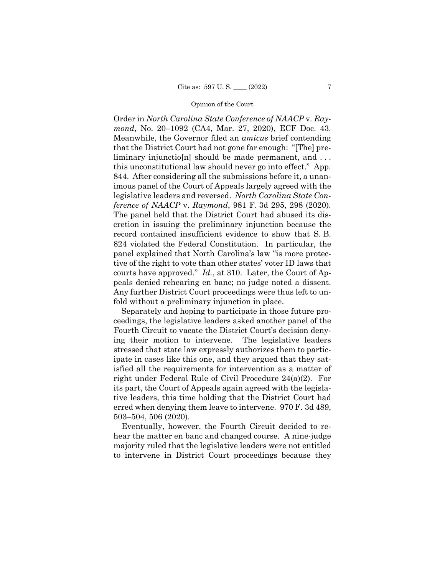*ference of NAACP* v. *Raymond*, 981 F. 3d 295, 298 (2020). peals denied rehearing en banc; no judge noted a dissent. Order in *North Carolina State Conference of NAACP* v. *Raymond*, No. 20–1092 (CA4, Mar. 27, 2020), ECF Doc. 43. Meanwhile, the Governor filed an *amicus* brief contending that the District Court had not gone far enough: "[The] preliminary injunctio[n] should be made permanent, and ... this unconstitutional law should never go into effect." App. 844. After considering all the submissions before it, a unanimous panel of the Court of Appeals largely agreed with the legislative leaders and reversed. *North Carolina State Con-*The panel held that the District Court had abused its discretion in issuing the preliminary injunction because the record contained insufficient evidence to show that S. B. 824 violated the Federal Constitution. In particular, the panel explained that North Carolina's law "is more protective of the right to vote than other states' voter ID laws that courts have approved." *Id.*, at 310. Later, the Court of Ap-Any further District Court proceedings were thus left to unfold without a preliminary injunction in place.

Separately and hoping to participate in those future proceedings, the legislative leaders asked another panel of the Fourth Circuit to vacate the District Court's decision denying their motion to intervene. The legislative leaders stressed that state law expressly authorizes them to participate in cases like this one, and they argued that they satisfied all the requirements for intervention as a matter of right under Federal Rule of Civil Procedure 24(a)(2). For its part, the Court of Appeals again agreed with the legislative leaders, this time holding that the District Court had erred when denying them leave to intervene. 970 F. 3d 489, 503–504, 506 (2020).

Eventually, however, the Fourth Circuit decided to rehear the matter en banc and changed course. A nine-judge majority ruled that the legislative leaders were not entitled to intervene in District Court proceedings because they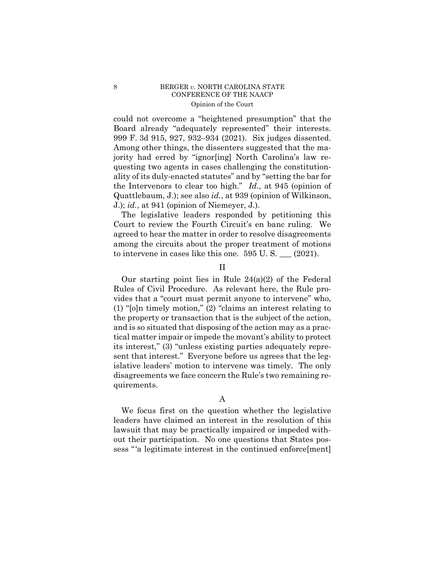### 8 BERGER *v*. NORTH CAROLINA STATE CONFERENCE OF THE NAACP Opinion of the Court

 the Intervenors to clear too high." *Id.*, at 945 (opinion of could not overcome a "heightened presumption" that the Board already "adequately represented" their interests. 999 F. 3d 915, 927, 932–934 (2021). Six judges dissented. Among other things, the dissenters suggested that the majority had erred by "ignor[ing] North Carolina's law requesting two agents in cases challenging the constitutionality of its duly-enacted statutes" and by "setting the bar for Quattlebaum, J.); see also *id.*, at 939 (opinion of Wilkinson, J.); *id.*, at 941 (opinion of Niemeyer, J.).

The legislative leaders responded by petitioning this Court to review the Fourth Circuit's en banc ruling. We agreed to hear the matter in order to resolve disagreements among the circuits about the proper treatment of motions to intervene in cases like this one. 595 U. S. \_\_\_ (2021).

### II

Our starting point lies in Rule  $24(a)(2)$  of the Federal Rules of Civil Procedure. As relevant here, the Rule provides that a "court must permit anyone to intervene" who, (1) "[o]n timely motion," (2) "claims an interest relating to the property or transaction that is the subject of the action, and is so situated that disposing of the action may as a practical matter impair or impede the movant's ability to protect its interest," (3) "unless existing parties adequately represent that interest." Everyone before us agrees that the legislative leaders' motion to intervene was timely. The only disagreements we face concern the Rule's two remaining requirements.

# A

We focus first on the question whether the legislative leaders have claimed an interest in the resolution of this lawsuit that may be practically impaired or impeded without their participation. No one questions that States possess "'a legitimate interest in the continued enforce[ment]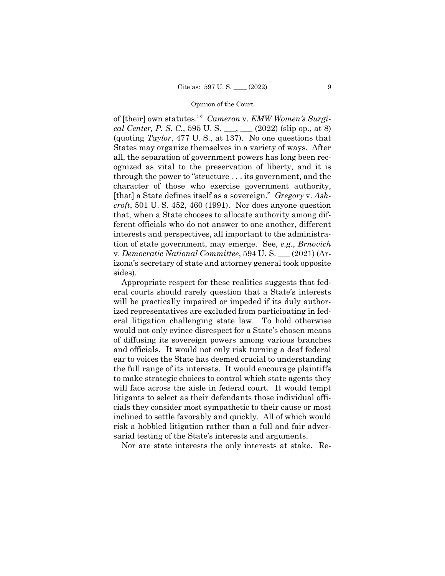of [their] own statutes.'" *Cameron* v. *EMW Women's Surgical Center, P. S. C.*, 595 U. S. \_\_\_, \_\_\_ (2022) (slip op., at 8) (quoting *Taylor*, 477 U. S., at 137). No one questions that States may organize themselves in a variety of ways. After all, the separation of government powers has long been recognized as vital to the preservation of liberty, and it is through the power to "structure . . . its government, and the character of those who exercise government authority, [that] a State defines itself as a sovereign." *Gregory* v. *Ashcroft*, 501 U. S. 452, 460 (1991). Nor does anyone question that, when a State chooses to allocate authority among different officials who do not answer to one another, different interests and perspectives, all important to the administration of state government, may emerge. See, *e.g.*, *Brnovich*  v. *Democratic National Committee*, 594 U. S. \_\_\_ (2021) (Arizona's secretary of state and attorney general took opposite sides).

Appropriate respect for these realities suggests that federal courts should rarely question that a State's interests will be practically impaired or impeded if its duly authorized representatives are excluded from participating in federal litigation challenging state law. To hold otherwise would not only evince disrespect for a State's chosen means of diffusing its sovereign powers among various branches and officials. It would not only risk turning a deaf federal ear to voices the State has deemed crucial to understanding the full range of its interests. It would encourage plaintiffs to make strategic choices to control which state agents they will face across the aisle in federal court. It would tempt litigants to select as their defendants those individual officials they consider most sympathetic to their cause or most inclined to settle favorably and quickly. All of which would risk a hobbled litigation rather than a full and fair adversarial testing of the State's interests and arguments.

Nor are state interests the only interests at stake. Re-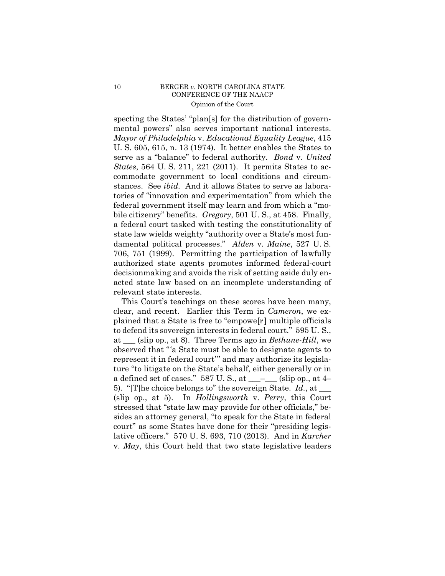# 10 BERGER *v*. NORTH CAROLINA STATE CONFERENCE OF THE NAACP Opinion of the Court

specting the States' "plan[s] for the distribution of governmental powers" also serves important national interests. *Mayor of Philadelphia* v. *Educational Equality League*, 415 U. S. 605, 615, n. 13 (1974). It better enables the States to serve as a "balance" to federal authority. *Bond* v. *United States*, 564 U. S. 211, 221 (2011). It permits States to accommodate government to local conditions and circumstances. See *ibid.* And it allows States to serve as laboratories of "innovation and experimentation" from which the federal government itself may learn and from which a "mobile citizenry" benefits. *Gregory*, 501 U. S., at 458. Finally, a federal court tasked with testing the constitutionality of state law wields weighty "authority over a State's most fundamental political processes." *Alden* v. *Maine*, 527 U. S. 706, 751 (1999). Permitting the participation of lawfully authorized state agents promotes informed federal-court decisionmaking and avoids the risk of setting aside duly enacted state law based on an incomplete understanding of relevant state interests.

This Court's teachings on these scores have been many, clear, and recent. Earlier this Term in *Cameron*, we explained that a State is free to "empowe[r] multiple officials to defend its sovereign interests in federal court." 595 U. S., at \_\_\_ (slip op., at 8). Three Terms ago in *Bethune-Hill*, we observed that "'a State must be able to designate agents to represent it in federal court'" and may authorize its legislature "to litigate on the State's behalf, either generally or in a defined set of cases." 587 U.S., at  $\_\_\_\_\_\_$  (slip op., at 4– 5). "[T]he choice belongs to" the sovereign State. *Id.*, at \_\_\_ (slip op., at 5). In *Hollingsworth* v. *Perry*, this Court stressed that "state law may provide for other officials," besides an attorney general, "to speak for the State in federal court" as some States have done for their "presiding legislative officers." 570 U. S. 693, 710 (2013). And in *Karcher*  v. *May*, this Court held that two state legislative leaders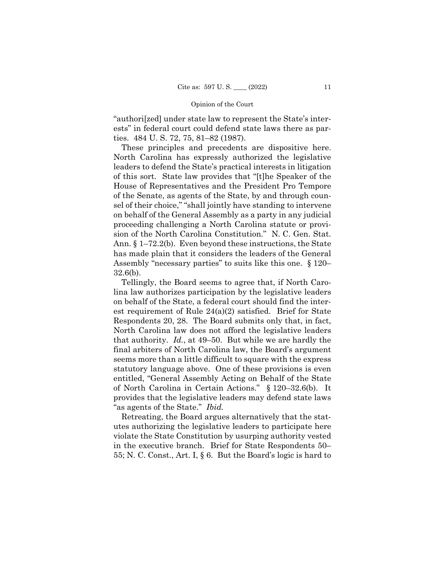"authori[zed] under state law to represent the State's interests" in federal court could defend state laws there as parties. 484 U. S. 72, 75, 81–82 (1987).

 Assembly "necessary parties" to suits like this one. § 120– These principles and precedents are dispositive here. North Carolina has expressly authorized the legislative leaders to defend the State's practical interests in litigation of this sort. State law provides that "[t]he Speaker of the House of Representatives and the President Pro Tempore of the Senate, as agents of the State, by and through counsel of their choice," "shall jointly have standing to intervene on behalf of the General Assembly as a party in any judicial proceeding challenging a North Carolina statute or provision of the North Carolina Constitution." N. C. Gen. Stat. Ann. § 1–72.2(b). Even beyond these instructions, the State has made plain that it considers the leaders of the General 32.6(b).

Tellingly, the Board seems to agree that, if North Carolina law authorizes participation by the legislative leaders on behalf of the State, a federal court should find the interest requirement of Rule 24(a)(2) satisfied. Brief for State Respondents 20, 28. The Board submits only that, in fact, North Carolina law does not afford the legislative leaders that authority. *Id.*, at 49–50. But while we are hardly the final arbiters of North Carolina law, the Board's argument seems more than a little difficult to square with the express statutory language above. One of these provisions is even entitled, "General Assembly Acting on Behalf of the State of North Carolina in Certain Actions." § 120–32.6(b). It provides that the legislative leaders may defend state laws "as agents of the State." *Ibid.* 

Retreating, the Board argues alternatively that the statutes authorizing the legislative leaders to participate here violate the State Constitution by usurping authority vested in the executive branch. Brief for State Respondents 50– 55; N. C. Const., Art. I, § 6. But the Board's logic is hard to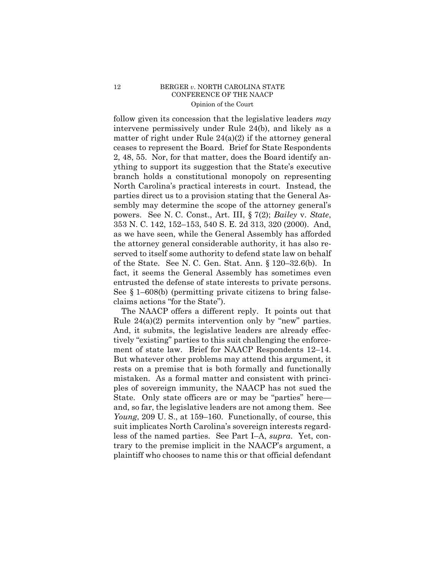## 12 BERGER *v*. NORTH CAROLINA STATE CONFERENCE OF THE NAACP Opinion of the Court

 ceases to represent the Board. Brief for State Respondents 2, 48, 55. Nor, for that matter, does the Board identify anfollow given its concession that the legislative leaders *may* intervene permissively under Rule 24(b), and likely as a matter of right under Rule 24(a)(2) if the attorney general ything to support its suggestion that the State's executive branch holds a constitutional monopoly on representing North Carolina's practical interests in court. Instead, the parties direct us to a provision stating that the General Assembly may determine the scope of the attorney general's powers. See N. C. Const., Art. III, § 7(2); *Bailey* v. *State*, 353 N. C. 142, 152–153, 540 S. E. 2d 313, 320 (2000). And, as we have seen, while the General Assembly has afforded the attorney general considerable authority, it has also reserved to itself some authority to defend state law on behalf of the State. See N. C. Gen. Stat. Ann. § 120–32.6(b). In fact, it seems the General Assembly has sometimes even entrusted the defense of state interests to private persons. See § 1–608(b) (permitting private citizens to bring falseclaims actions "for the State").

The NAACP offers a different reply. It points out that Rule  $24(a)(2)$  permits intervention only by "new" parties. And, it submits, the legislative leaders are already effectively "existing" parties to this suit challenging the enforcement of state law. Brief for NAACP Respondents 12–14. But whatever other problems may attend this argument, it rests on a premise that is both formally and functionally mistaken. As a formal matter and consistent with principles of sovereign immunity, the NAACP has not sued the State. Only state officers are or may be "parties" here and, so far, the legislative leaders are not among them. See *Young*, 209 U. S., at 159–160. Functionally, of course, this suit implicates North Carolina's sovereign interests regardless of the named parties. See Part I–A, *supra*. Yet, contrary to the premise implicit in the NAACP's argument, a plaintiff who chooses to name this or that official defendant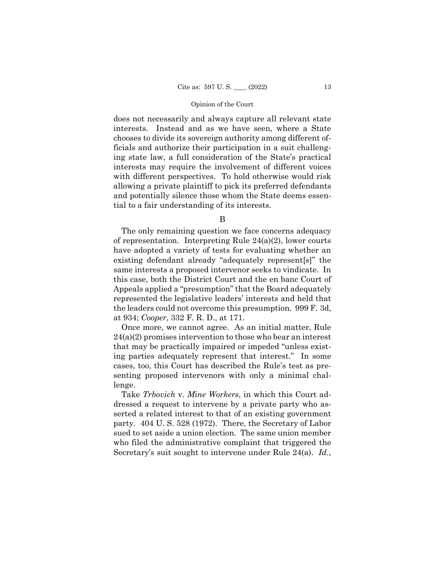does not necessarily and always capture all relevant state interests. Instead and as we have seen, where a State chooses to divide its sovereign authority among different officials and authorize their participation in a suit challenging state law, a full consideration of the State's practical interests may require the involvement of different voices with different perspectives. To hold otherwise would risk allowing a private plaintiff to pick its preferred defendants and potentially silence those whom the State deems essential to a fair understanding of its interests.

B

The only remaining question we face concerns adequacy of representation. Interpreting Rule 24(a)(2), lower courts have adopted a variety of tests for evaluating whether an existing defendant already "adequately represent[s]" the same interests a proposed intervenor seeks to vindicate. In this case, both the District Court and the en banc Court of Appeals applied a "presumption" that the Board adequately represented the legislative leaders' interests and held that the leaders could not overcome this presumption. 999 F. 3d, at 934; *Cooper*, 332 F. R. D., at 171.

Once more, we cannot agree. As an initial matter, Rule  $24(a)(2)$  promises intervention to those who bear an interest that may be practically impaired or impeded "unless existing parties adequately represent that interest." In some cases, too, this Court has described the Rule's test as presenting proposed intervenors with only a minimal challenge.

Take *Trbovich* v. *Mine Workers*, in which this Court addressed a request to intervene by a private party who asserted a related interest to that of an existing government party. 404 U. S. 528 (1972). There, the Secretary of Labor sued to set aside a union election. The same union member who filed the administrative complaint that triggered the Secretary's suit sought to intervene under Rule 24(a). *Id.*,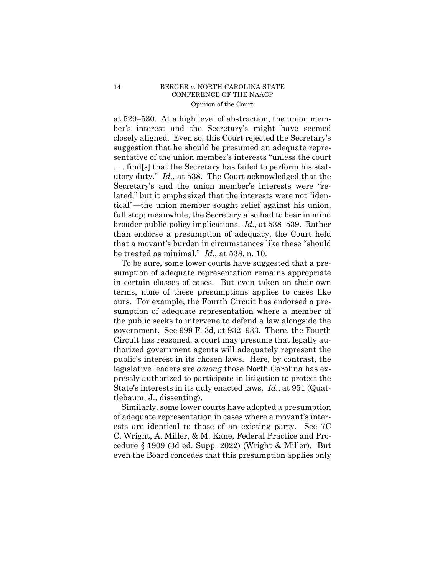### 14 BERGER *v*. NORTH CAROLINA STATE CONFERENCE OF THE NAACP Opinion of the Court

at 529–530. At a high level of abstraction, the union member's interest and the Secretary's might have seemed closely aligned. Even so, this Court rejected the Secretary's suggestion that he should be presumed an adequate representative of the union member's interests "unless the court . . . find[s] that the Secretary has failed to perform his statutory duty." *Id.*, at 538. The Court acknowledged that the Secretary's and the union member's interests were "related," but it emphasized that the interests were not "identical"—the union member sought relief against his union, full stop; meanwhile, the Secretary also had to bear in mind broader public-policy implications. *Id.*, at 538–539. Rather than endorse a presumption of adequacy, the Court held that a movant's burden in circumstances like these "should be treated as minimal." *Id.*, at 538, n. 10.

To be sure, some lower courts have suggested that a presumption of adequate representation remains appropriate in certain classes of cases. But even taken on their own terms, none of these presumptions applies to cases like ours. For example, the Fourth Circuit has endorsed a presumption of adequate representation where a member of the public seeks to intervene to defend a law alongside the government. See 999 F. 3d, at 932–933. There, the Fourth Circuit has reasoned, a court may presume that legally authorized government agents will adequately represent the public's interest in its chosen laws. Here, by contrast, the legislative leaders are *among* those North Carolina has expressly authorized to participate in litigation to protect the State's interests in its duly enacted laws. *Id.*, at 951 (Quattlebaum, J., dissenting).

Similarly, some lower courts have adopted a presumption of adequate representation in cases where a movant's interests are identical to those of an existing party. See 7C C. Wright, A. Miller, & M. Kane, Federal Practice and Procedure § 1909 (3d ed. Supp. 2022) (Wright & Miller). But even the Board concedes that this presumption applies only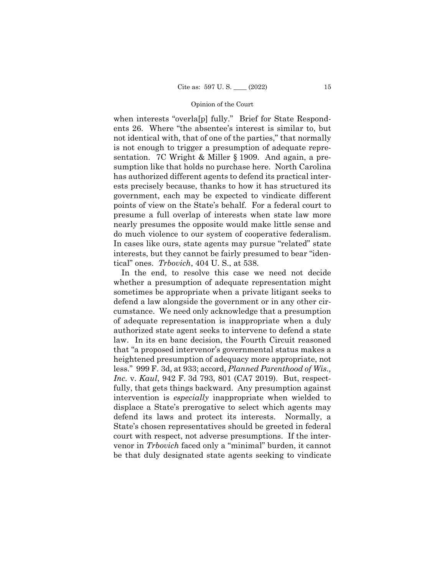when interests "overla[p] fully." Brief for State Respondents 26. Where "the absentee's interest is similar to, but not identical with, that of one of the parties," that normally is not enough to trigger a presumption of adequate representation. 7C Wright & Miller § 1909. And again, a presumption like that holds no purchase here. North Carolina has authorized different agents to defend its practical interests precisely because, thanks to how it has structured its government, each may be expected to vindicate different points of view on the State's behalf. For a federal court to presume a full overlap of interests when state law more nearly presumes the opposite would make little sense and do much violence to our system of cooperative federalism. In cases like ours, state agents may pursue "related" state interests, but they cannot be fairly presumed to bear "identical" ones. *Trbovich*, 404 U. S., at 538.

In the end, to resolve this case we need not decide whether a presumption of adequate representation might sometimes be appropriate when a private litigant seeks to defend a law alongside the government or in any other circumstance. We need only acknowledge that a presumption of adequate representation is inappropriate when a duly authorized state agent seeks to intervene to defend a state law. In its en banc decision, the Fourth Circuit reasoned that "a proposed intervenor's governmental status makes a heightened presumption of adequacy more appropriate, not less." 999 F. 3d, at 933; accord, *Planned Parenthood of Wis., Inc.* v. *Kaul*, 942 F. 3d 793, 801 (CA7 2019). But, respectfully, that gets things backward. Any presumption against intervention is *especially* inappropriate when wielded to displace a State's prerogative to select which agents may defend its laws and protect its interests. Normally, a State's chosen representatives should be greeted in federal court with respect, not adverse presumptions. If the intervenor in *Trbovich* faced only a "minimal" burden, it cannot be that duly designated state agents seeking to vindicate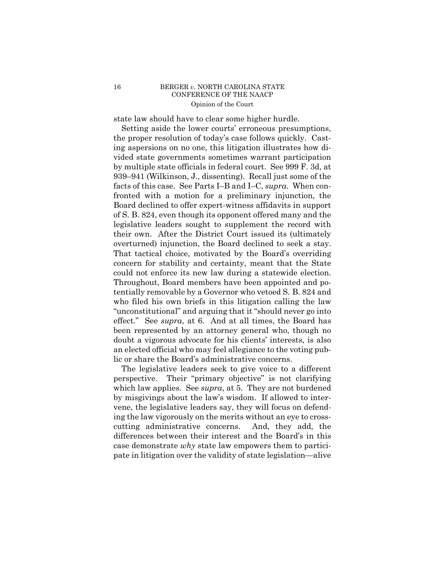### 16 BERGER *v*. NORTH CAROLINA STATE CONFERENCE OF THE NAACP Opinion of the Court

state law should have to clear some higher hurdle.

 overturned) injunction, the Board declined to seek a stay. Setting aside the lower courts' erroneous presumptions, the proper resolution of today's case follows quickly. Casting aspersions on no one, this litigation illustrates how divided state governments sometimes warrant participation by multiple state officials in federal court. See 999 F. 3d, at 939–941 (Wilkinson, J., dissenting). Recall just some of the facts of this case. See Parts I–B and I–C, *supra*. When confronted with a motion for a preliminary injunction, the Board declined to offer expert-witness affidavits in support of S. B. 824, even though its opponent offered many and the legislative leaders sought to supplement the record with their own. After the District Court issued its (ultimately That tactical choice, motivated by the Board's overriding concern for stability and certainty, meant that the State could not enforce its new law during a statewide election. Throughout, Board members have been appointed and potentially removable by a Governor who vetoed S. B. 824 and who filed his own briefs in this litigation calling the law "unconstitutional" and arguing that it "should never go into effect." See *supra*, at 6. And at all times, the Board has been represented by an attorney general who, though no doubt a vigorous advocate for his clients' interests, is also an elected official who may feel allegiance to the voting public or share the Board's administrative concerns.

The legislative leaders seek to give voice to a different perspective. Their "primary objective" is not clarifying which law applies. See *supra*, at 5. They are not burdened by misgivings about the law's wisdom. If allowed to intervene, the legislative leaders say, they will focus on defending the law vigorously on the merits without an eye to crosscutting administrative concerns. And, they add, the differences between their interest and the Board's in this case demonstrate *why* state law empowers them to participate in litigation over the validity of state legislation—alive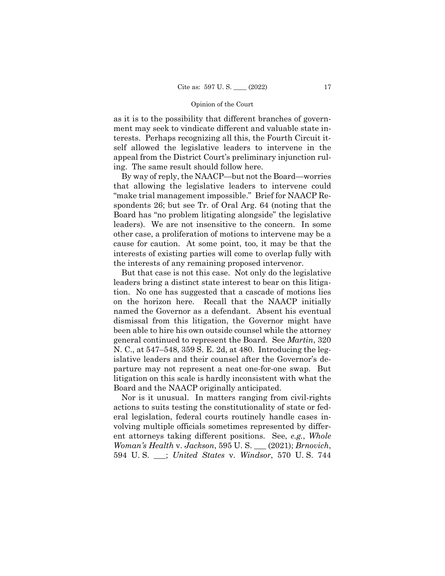as it is to the possibility that different branches of government may seek to vindicate different and valuable state interests. Perhaps recognizing all this, the Fourth Circuit itself allowed the legislative leaders to intervene in the appeal from the District Court's preliminary injunction ruling. The same result should follow here.

By way of reply, the NAACP—but not the Board—worries that allowing the legislative leaders to intervene could "make trial management impossible." Brief for NAACP Respondents 26; but see Tr. of Oral Arg. 64 (noting that the Board has "no problem litigating alongside" the legislative leaders). We are not insensitive to the concern. In some other case, a proliferation of motions to intervene may be a cause for caution. At some point, too, it may be that the interests of existing parties will come to overlap fully with the interests of any remaining proposed intervenor.

But that case is not this case. Not only do the legislative leaders bring a distinct state interest to bear on this litigation. No one has suggested that a cascade of motions lies on the horizon here. Recall that the NAACP initially named the Governor as a defendant. Absent his eventual dismissal from this litigation, the Governor might have been able to hire his own outside counsel while the attorney general continued to represent the Board. See *Martin*, 320 N. C., at 547–548, 359 S. E. 2d, at 480. Introducing the legislative leaders and their counsel after the Governor's departure may not represent a neat one-for-one swap. But litigation on this scale is hardly inconsistent with what the Board and the NAACP originally anticipated.

Nor is it unusual. In matters ranging from civil-rights actions to suits testing the constitutionality of state or federal legislation, federal courts routinely handle cases involving multiple officials sometimes represented by different attorneys taking different positions. See, *e.g.*, *Whole Woman's Health* v. *Jackson*, 595 U. S. \_\_\_ (2021); *Brnovich*, 594 U. S. \_\_\_; *United States* v. *Windsor*, 570 U. S. 744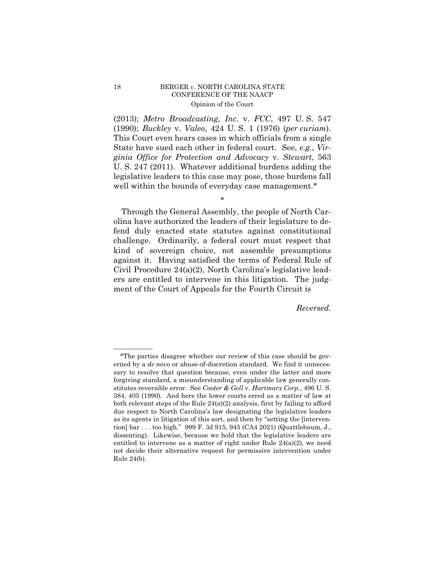# 18 BERGER *v*. NORTH CAROLINA STATE CONFERENCE OF THE NAACP Opinion of the Court

(2013); *Metro Broadcasting, Inc.* v. *FCC*, 497 U. S. 547 (1990); *Buckley* v. *Valeo*, 424 U. S. 1 (1976) (*per curiam*). This Court even hears cases in which officials from a single State have sued each other in federal court. See, *e.g.*, *Virginia Office for Protection and Advocacy* v. *Stewart*, 563 U. S. 247 (2011). Whatever additional burdens adding the legislative leaders to this case may pose, those burdens fall well within the bounds of everyday case management.\*

\*

Through the General Assembly, the people of North Carolina have authorized the leaders of their legislature to defend duly enacted state statutes against constitutional challenge. Ordinarily, a federal court must respect that kind of sovereign choice, not assemble presumptions against it. Having satisfied the terms of Federal Rule of Civil Procedure 24(a)(2), North Carolina's legislative leaders are entitled to intervene in this litigation. The judgment of the Court of Appeals for the Fourth Circuit is

*Reversed.* 

——————

<sup>\*</sup>The parties disagree whether our review of this case should be governed by a *de novo* or abuse-of-discretion standard. We find it unnecessary to resolve that question because, even under the latter and more forgiving standard, a misunderstanding of applicable law generally constitutes reversible error. See *Cooter & Gell* v. *Hartmarx Corp.*, 496 U. S. 384, 405 (1990). And here the lower courts erred as a matter of law at both relevant steps of the Rule 24(a)(2) analysis, first by failing to afford due respect to North Carolina's law designating the legislative leaders as its agents in litigation of this sort, and then by "setting the [intervention] bar . . . too high." 999 F. 3d 915, 945 (CA4 2021) (Quattlebaum, J., dissenting). Likewise, because we hold that the legislative leaders are entitled to intervene as a matter of right under Rule  $24(a)(2)$ , we need not decide their alternative request for permissive intervention under Rule 24(b).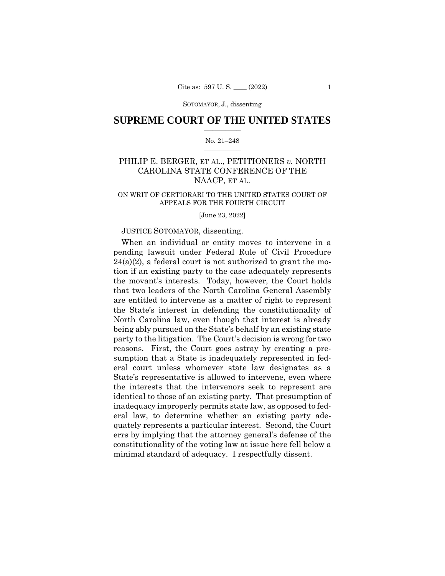## $\frac{1}{2}$  ,  $\frac{1}{2}$  ,  $\frac{1}{2}$  ,  $\frac{1}{2}$  ,  $\frac{1}{2}$  ,  $\frac{1}{2}$  ,  $\frac{1}{2}$ **SUPREME COURT OF THE UNITED STATES**

#### $\frac{1}{2}$  ,  $\frac{1}{2}$  ,  $\frac{1}{2}$  ,  $\frac{1}{2}$  ,  $\frac{1}{2}$  ,  $\frac{1}{2}$ No. 21–248

# PHILIP E. BERGER, ET AL., PETITIONERS *v.* NORTH CAROLINA STATE CONFERENCE OF THE NAACP, ET AL.

#### ON WRIT OF CERTIORARI TO THE UNITED STATES COURT OF APPEALS FOR THE FOURTH CIRCUIT

[June 23, 2022]

### JUSTICE SOTOMAYOR, dissenting.

When an individual or entity moves to intervene in a pending lawsuit under Federal Rule of Civil Procedure  $24(a)(2)$ , a federal court is not authorized to grant the motion if an existing party to the case adequately represents the movant's interests. Today, however, the Court holds that two leaders of the North Carolina General Assembly are entitled to intervene as a matter of right to represent the State's interest in defending the constitutionality of North Carolina law, even though that interest is already being ably pursued on the State's behalf by an existing state party to the litigation. The Court's decision is wrong for two reasons. First, the Court goes astray by creating a presumption that a State is inadequately represented in federal court unless whomever state law designates as a State's representative is allowed to intervene, even where the interests that the intervenors seek to represent are identical to those of an existing party. That presumption of inadequacy improperly permits state law, as opposed to federal law, to determine whether an existing party adequately represents a particular interest. Second, the Court errs by implying that the attorney general's defense of the constitutionality of the voting law at issue here fell below a minimal standard of adequacy. I respectfully dissent.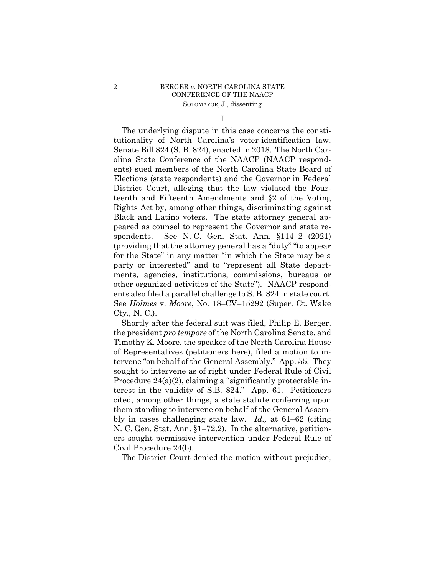# 2 BERGER *v*. NORTH CAROLINA STATE CONFERENCE OF THE NAACP SOTOMAYOR, J., dissenting

I

 ents also filed a parallel challenge to S. B. 824 in state court. The underlying dispute in this case concerns the constitutionality of North Carolina's voter-identification law, Senate Bill 824 (S. B. 824), enacted in 2018. The North Carolina State Conference of the NAACP (NAACP respondents) sued members of the North Carolina State Board of Elections (state respondents) and the Governor in Federal District Court, alleging that the law violated the Fourteenth and Fifteenth Amendments and §2 of the Voting Rights Act by, among other things, discriminating against Black and Latino voters. The state attorney general appeared as counsel to represent the Governor and state respondents. See N. C. Gen. Stat. Ann. §114–2 (2021) (providing that the attorney general has a "duty" "to appear for the State" in any matter "in which the State may be a party or interested" and to "represent all State departments, agencies, institutions, commissions, bureaus or other organized activities of the State"). NAACP respond-See *Holmes* v. *Moore*, No. 18–CV–15292 (Super. Ct. Wake Cty., N. C.).

Shortly after the federal suit was filed, Philip E. Berger, the president *pro tempore* of the North Carolina Senate, and Timothy K. Moore, the speaker of the North Carolina House of Representatives (petitioners here), filed a motion to intervene "on behalf of the General Assembly." App. 55. They sought to intervene as of right under Federal Rule of Civil Procedure 24(a)(2), claiming a "significantly protectable interest in the validity of S.B. 824." App. 61. Petitioners cited, among other things, a state statute conferring upon them standing to intervene on behalf of the General Assembly in cases challenging state law. *Id.,* at 61–62 (citing N. C. Gen. Stat. Ann. §1–72.2). In the alternative, petitioners sought permissive intervention under Federal Rule of Civil Procedure 24(b).

The District Court denied the motion without prejudice,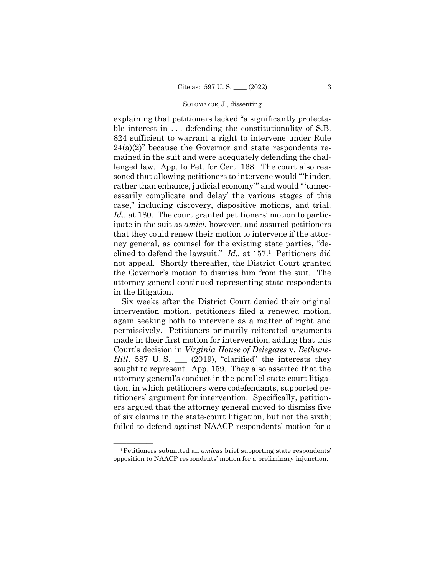explaining that petitioners lacked "a significantly protectable interest in ... defending the constitutionality of S.B. 824 sufficient to warrant a right to intervene under Rule  $24(a)(2)$ " because the Governor and state respondents remained in the suit and were adequately defending the challenged law. App. to Pet. for Cert. 168. The court also reasoned that allowing petitioners to intervene would "'hinder, rather than enhance, judicial economy'" and would "'unnecessarily complicate and delay' the various stages of this case," including discovery, dispositive motions, and trial. *Id.,* at 180. The court granted petitioners' motion to participate in the suit as *amici*, however, and assured petitioners that they could renew their motion to intervene if the attorney general, as counsel for the existing state parties, "declined to defend the lawsuit." *Id.,* at 157.1 Petitioners did not appeal. Shortly thereafter, the District Court granted the Governor's motion to dismiss him from the suit. The attorney general continued representing state respondents in the litigation.

Six weeks after the District Court denied their original intervention motion, petitioners filed a renewed motion, again seeking both to intervene as a matter of right and permissively. Petitioners primarily reiterated arguments made in their first motion for intervention, adding that this Court's decision in *Virginia House of Delegates* v. *Bethune-Hill*, 587 U. S. \_\_\_ (2019), "clarified" the interests they sought to represent. App. 159. They also asserted that the attorney general's conduct in the parallel state-court litigation, in which petitioners were codefendants, supported petitioners' argument for intervention. Specifically, petitioners argued that the attorney general moved to dismiss five of six claims in the state-court litigation, but not the sixth; failed to defend against NAACP respondents' motion for a

<sup>&</sup>lt;sup>1</sup>Petitioners submitted an *amicus* brief supporting state respondents' opposition to NAACP respondents' motion for a preliminary injunction.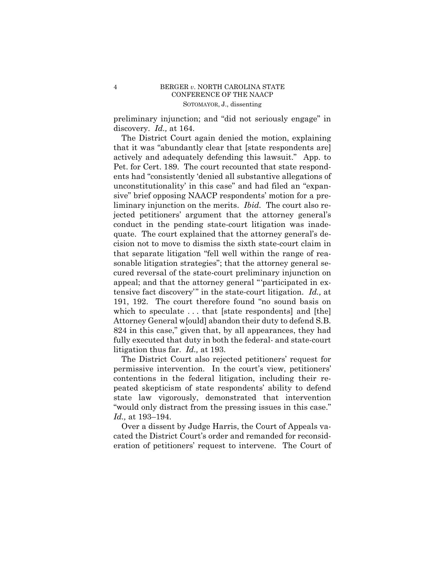preliminary injunction; and "did not seriously engage" in discovery. *Id.,* at 164.

The District Court again denied the motion, explaining that it was "abundantly clear that [state respondents are] actively and adequately defending this lawsuit." App. to Pet. for Cert. 189. The court recounted that state respondents had "consistently 'denied all substantive allegations of unconstitutionality' in this case" and had filed an "expansive" brief opposing NAACP respondents' motion for a preliminary injunction on the merits. *Ibid.* The court also rejected petitioners' argument that the attorney general's conduct in the pending state-court litigation was inadequate. The court explained that the attorney general's decision not to move to dismiss the sixth state-court claim in that separate litigation "fell well within the range of reasonable litigation strategies"; that the attorney general secured reversal of the state-court preliminary injunction on appeal; and that the attorney general "'participated in extensive fact discovery'" in the state-court litigation. *Id.,* at 191, 192. The court therefore found "no sound basis on which to speculate ... that [state respondents] and [the] Attorney General w[ould] abandon their duty to defend S.B. 824 in this case," given that, by all appearances, they had fully executed that duty in both the federal- and state-court litigation thus far. *Id.,* at 193.

The District Court also rejected petitioners' request for permissive intervention. In the court's view, petitioners' contentions in the federal litigation, including their repeated skepticism of state respondents' ability to defend state law vigorously, demonstrated that intervention "would only distract from the pressing issues in this case." *Id.,* at 193–194.

Over a dissent by Judge Harris, the Court of Appeals vacated the District Court's order and remanded for reconsideration of petitioners' request to intervene. The Court of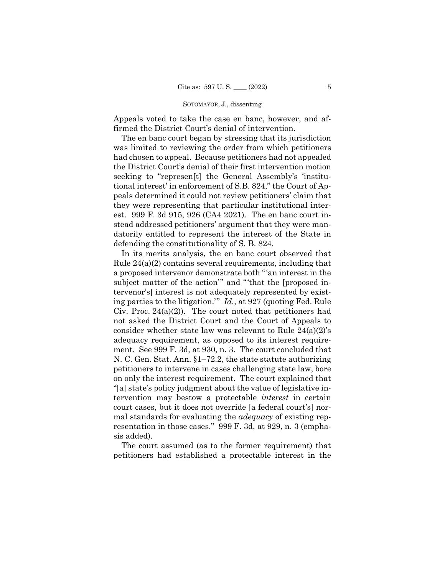Appeals voted to take the case en banc, however, and affirmed the District Court's denial of intervention.

The en banc court began by stressing that its jurisdiction was limited to reviewing the order from which petitioners had chosen to appeal. Because petitioners had not appealed the District Court's denial of their first intervention motion seeking to "represen[t] the General Assembly's 'institutional interest' in enforcement of S.B. 824," the Court of Appeals determined it could not review petitioners' claim that they were representing that particular institutional interest. 999 F. 3d 915, 926 (CA4 2021). The en banc court instead addressed petitioners' argument that they were mandatorily entitled to represent the interest of the State in defending the constitutionality of S. B. 824.

 not asked the District Court and the Court of Appeals to In its merits analysis, the en banc court observed that Rule 24(a)(2) contains several requirements, including that a proposed intervenor demonstrate both "'an interest in the subject matter of the action'" and "'that the [proposed intervenor's] interest is not adequately represented by existing parties to the litigation.'" *Id.*, at 927 (quoting Fed. Rule Civ. Proc.  $24(a)(2)$ ). The court noted that petitioners had consider whether state law was relevant to Rule 24(a)(2)'s adequacy requirement, as opposed to its interest requirement. See 999 F. 3d, at 930, n. 3. The court concluded that N. C. Gen. Stat. Ann. §1–72.2, the state statute authorizing petitioners to intervene in cases challenging state law, bore on only the interest requirement. The court explained that "[a] state's policy judgment about the value of legislative intervention may bestow a protectable *interest* in certain court cases, but it does not override [a federal court's] normal standards for evaluating the *adequacy* of existing representation in those cases." 999 F. 3d, at 929, n. 3 (emphasis added).

The court assumed (as to the former requirement) that petitioners had established a protectable interest in the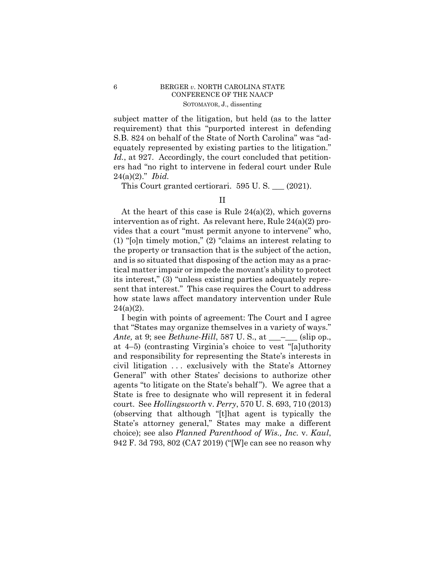# 6 BERGER *v*. NORTH CAROLINA STATE CONFERENCE OF THE NAACP SOTOMAYOR, J., dissenting

subject matter of the litigation, but held (as to the latter requirement) that this "purported interest in defending S.B. 824 on behalf of the State of North Carolina" was "adequately represented by existing parties to the litigation." Id., at 927. Accordingly, the court concluded that petitioners had "no right to intervene in federal court under Rule 24(a)(2)." *Ibid.* 

This Court granted certiorari. 595 U. S. \_\_\_ (2021).

At the heart of this case is Rule  $24(a)(2)$ , which governs intervention as of right. As relevant here, Rule 24(a)(2) provides that a court "must permit anyone to intervene" who, (1) "[o]n timely motion," (2) "claims an interest relating to the property or transaction that is the subject of the action, and is so situated that disposing of the action may as a practical matter impair or impede the movant's ability to protect its interest," (3) "unless existing parties adequately represent that interest." This case requires the Court to address how state laws affect mandatory intervention under Rule  $24(a)(2)$ .

I begin with points of agreement: The Court and I agree that "States may organize themselves in a variety of ways." *Ante*, at 9; see *Bethune-Hill*, 587 U. S., at \_\_\_\_\_\_ (slip op., at 4–5) (contrasting Virginia's choice to vest "[a]uthority and responsibility for representing the State's interests in civil litigation . . . exclusively with the State's Attorney General" with other States' decisions to authorize other agents "to litigate on the State's behalf "). We agree that a State is free to designate who will represent it in federal court. See *Hollingsworth* v. *Perry*, 570 U. S. 693, 710 (2013) (observing that although "[t]hat agent is typically the State's attorney general," States may make a different choice); see also *Planned Parenthood of Wis., Inc.* v. *Kaul*, 942 F. 3d 793, 802 (CA7 2019) ("[W]e can see no reason why

II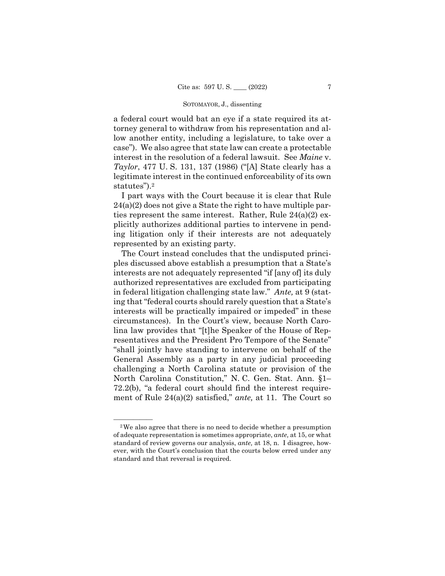a federal court would bat an eye if a state required its attorney general to withdraw from his representation and allow another entity, including a legislature, to take over a case"). We also agree that state law can create a protectable interest in the resolution of a federal lawsuit. See *Maine* v. *Taylor*, 477 U. S. 131, 137 (1986) ("[A] State clearly has a legitimate interest in the continued enforceability of its own statutes").<sup>2</sup>

I part ways with the Court because it is clear that Rule 24(a)(2) does not give a State the right to have multiple parties represent the same interest. Rather, Rule 24(a)(2) explicitly authorizes additional parties to intervene in pending litigation only if their interests are not adequately represented by an existing party.

The Court instead concludes that the undisputed principles discussed above establish a presumption that a State's interests are not adequately represented "if [any of] its duly authorized representatives are excluded from participating in federal litigation challenging state law." *Ante,* at 9 (stating that "federal courts should rarely question that a State's interests will be practically impaired or impeded" in these circumstances). In the Court's view, because North Carolina law provides that "[t]he Speaker of the House of Representatives and the President Pro Tempore of the Senate" "shall jointly have standing to intervene on behalf of the General Assembly as a party in any judicial proceeding challenging a North Carolina statute or provision of the North Carolina Constitution," N. C. Gen. Stat. Ann. §1– 72.2(b), "a federal court should find the interest requirement of Rule 24(a)(2) satisfied," *ante,* at 11. The Court so

<sup>&</sup>lt;sup>2</sup>We also agree that there is no need to decide whether a presumption of adequate representation is sometimes appropriate, *ante,* at 15, or what standard of review governs our analysis, *ante,* at 18, n. I disagree, however, with the Court's conclusion that the courts below erred under any standard and that reversal is required.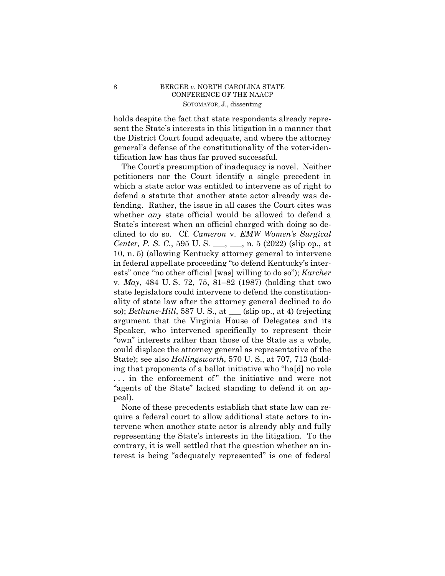# 8 BERGER *v*. NORTH CAROLINA STATE CONFERENCE OF THE NAACP SOTOMAYOR, J., dissenting

holds despite the fact that state respondents already represent the State's interests in this litigation in a manner that the District Court found adequate, and where the attorney general's defense of the constitutionality of the voter-identification law has thus far proved successful.

The Court's presumption of inadequacy is novel. Neither petitioners nor the Court identify a single precedent in which a state actor was entitled to intervene as of right to defend a statute that another state actor already was defending. Rather, the issue in all cases the Court cites was whether *any* state official would be allowed to defend a State's interest when an official charged with doing so declined to do so. Cf. *Cameron* v. *EMW Women's Surgical Center, P. S. C.*, 595 U. S. \_\_\_, \_\_, n. 5 (2022) (slip op., at 10, n. 5) (allowing Kentucky attorney general to intervene in federal appellate proceeding "to defend Kentucky's interests" once "no other official [was] willing to do so"); *Karcher*  v. *May*, 484 U. S. 72, 75, 81–82 (1987) (holding that two state legislators could intervene to defend the constitutionality of state law after the attorney general declined to do so); *Bethune-Hill*, 587 U. S., at \_\_\_ (slip op., at 4) (rejecting argument that the Virginia House of Delegates and its Speaker, who intervened specifically to represent their "own" interests rather than those of the State as a whole, could displace the attorney general as representative of the State); see also *Hollingsworth*, 570 U. S., at 707, 713 (holding that proponents of a ballot initiative who "ha[d] no role ... in the enforcement of" the initiative and were not "agents of the State" lacked standing to defend it on appeal).

None of these precedents establish that state law can require a federal court to allow additional state actors to intervene when another state actor is already ably and fully representing the State's interests in the litigation. To the contrary, it is well settled that the question whether an interest is being "adequately represented" is one of federal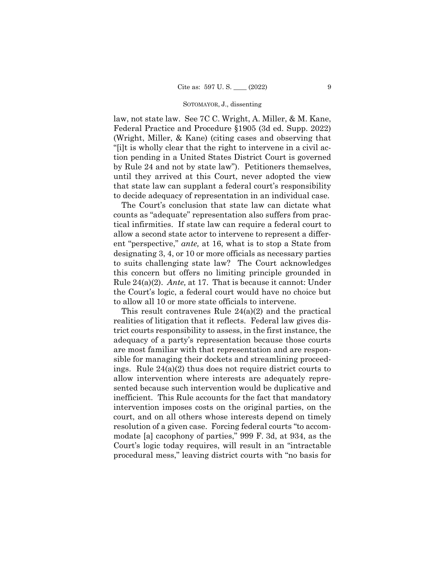law, not state law. See 7C C. Wright, A. Miller, & M. Kane, Federal Practice and Procedure §1905 (3d ed. Supp. 2022) (Wright, Miller, & Kane) (citing cases and observing that "[i]t is wholly clear that the right to intervene in a civil action pending in a United States District Court is governed by Rule 24 and not by state law"). Petitioners themselves, until they arrived at this Court, never adopted the view that state law can supplant a federal court's responsibility to decide adequacy of representation in an individual case.

The Court's conclusion that state law can dictate what counts as "adequate" representation also suffers from practical infirmities. If state law can require a federal court to allow a second state actor to intervene to represent a different "perspective," *ante,* at 16, what is to stop a State from designating 3, 4, or 10 or more officials as necessary parties to suits challenging state law? The Court acknowledges this concern but offers no limiting principle grounded in Rule 24(a)(2). *Ante,* at 17. That is because it cannot: Under the Court's logic, a federal court would have no choice but to allow all 10 or more state officials to intervene.

This result contravenes Rule 24(a)(2) and the practical realities of litigation that it reflects. Federal law gives district courts responsibility to assess, in the first instance, the adequacy of a party's representation because those courts are most familiar with that representation and are responsible for managing their dockets and streamlining proceedings. Rule 24(a)(2) thus does not require district courts to allow intervention where interests are adequately represented because such intervention would be duplicative and inefficient. This Rule accounts for the fact that mandatory intervention imposes costs on the original parties, on the court, and on all others whose interests depend on timely resolution of a given case. Forcing federal courts "to accommodate [a] cacophony of parties," 999 F. 3d, at 934, as the Court's logic today requires, will result in an "intractable procedural mess," leaving district courts with "no basis for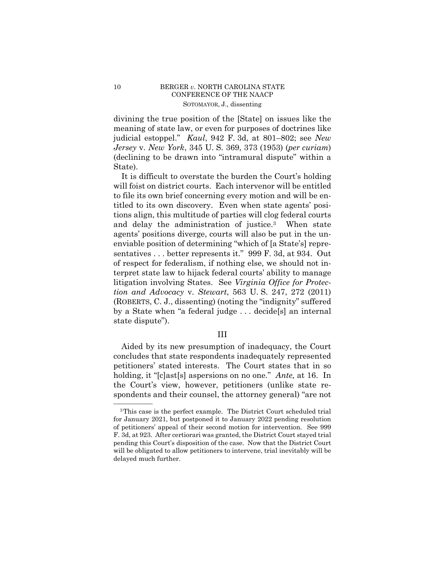# 10 BERGER *v*. NORTH CAROLINA STATE CONFERENCE OF THE NAACP SOTOMAYOR, J., dissenting

divining the true position of the [State] on issues like the meaning of state law, or even for purposes of doctrines like judicial estoppel." *Kaul*, 942 F. 3d, at 801–802; see *New Jersey* v. *New York*, 345 U. S. 369, 373 (1953) (*per curiam*) (declining to be drawn into "intramural dispute" within a State).

 and delay the administration of justice.3 When state It is difficult to overstate the burden the Court's holding will foist on district courts. Each intervenor will be entitled to file its own brief concerning every motion and will be entitled to its own discovery. Even when state agents' positions align, this multitude of parties will clog federal courts agents' positions diverge, courts will also be put in the unenviable position of determining "which of [a State's] representatives . . . better represents it." 999 F. 3d, at 934. Out of respect for federalism, if nothing else, we should not interpret state law to hijack federal courts' ability to manage litigation involving States. See *Virginia Office for Protection and Advocacy* v. *Stewart*, 563 U. S. 247, 272 (2011) (ROBERTS, C. J., dissenting) (noting the "indignity" suffered by a State when "a federal judge . . . decide[s] an internal state dispute").

### III

Aided by its new presumption of inadequacy, the Court concludes that state respondents inadequately represented petitioners' stated interests. The Court states that in so holding, it "[c]ast[s] aspersions on no one." *Ante,* at 16. In the Court's view, however, petitioners (unlike state respondents and their counsel, the attorney general) "are not

<sup>&</sup>lt;sup>3</sup>This case is the perfect example. The District Court scheduled trial for January 2021, but postponed it to January 2022 pending resolution of petitioners' appeal of their second motion for intervention. See 999 F. 3d, at 923. After certiorari was granted, the District Court stayed trial pending this Court's disposition of the case. Now that the District Court will be obligated to allow petitioners to intervene, trial inevitably will be delayed much further.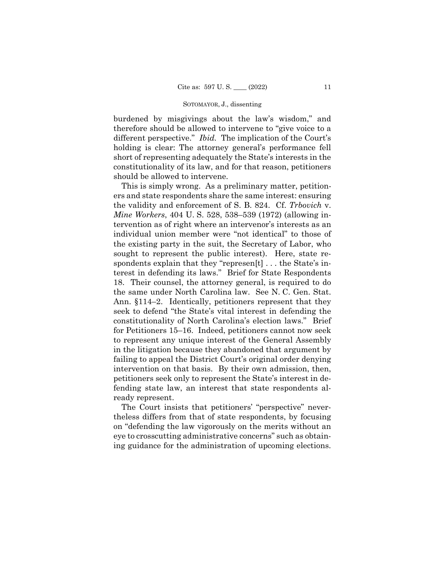burdened by misgivings about the law's wisdom," and therefore should be allowed to intervene to "give voice to a different perspective." *Ibid.* The implication of the Court's holding is clear: The attorney general's performance fell short of representing adequately the State's interests in the constitutionality of its law, and for that reason, petitioners should be allowed to intervene.

This is simply wrong. As a preliminary matter, petitioners and state respondents share the same interest: ensuring the validity and enforcement of S. B. 824. Cf. *Trbovich* v. *Mine Workers*, 404 U. S. 528, 538–539 (1972) (allowing intervention as of right where an intervenor's interests as an individual union member were "not identical" to those of the existing party in the suit, the Secretary of Labor, who sought to represent the public interest). Here, state respondents explain that they "represen[t] . . . the State's interest in defending its laws." Brief for State Respondents 18. Their counsel, the attorney general, is required to do the same under North Carolina law. See N. C. Gen. Stat. Ann. §114–2. Identically, petitioners represent that they seek to defend "the State's vital interest in defending the constitutionality of North Carolina's election laws." Brief for Petitioners 15–16. Indeed, petitioners cannot now seek to represent any unique interest of the General Assembly in the litigation because they abandoned that argument by failing to appeal the District Court's original order denying intervention on that basis. By their own admission, then, petitioners seek only to represent the State's interest in defending state law, an interest that state respondents already represent.

 ing guidance for the administration of upcoming elections. The Court insists that petitioners' "perspective" nevertheless differs from that of state respondents, by focusing on "defending the law vigorously on the merits without an eye to crosscutting administrative concerns" such as obtain-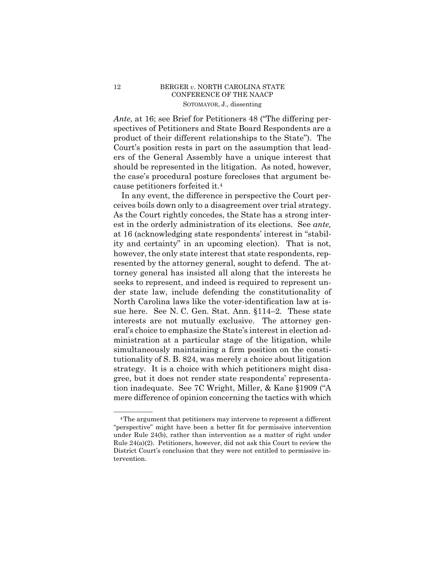# 12 BERGER *v*. NORTH CAROLINA STATE CONFERENCE OF THE NAACP SOTOMAYOR, J., dissenting

*Ante,* at 16; see Brief for Petitioners 48 ("The differing perspectives of Petitioners and State Board Respondents are a product of their different relationships to the State"). The Court's position rests in part on the assumption that leaders of the General Assembly have a unique interest that should be represented in the litigation. As noted, however, the case's procedural posture forecloses that argument because petitioners forfeited it.4

In any event, the difference in perspective the Court perceives boils down only to a disagreement over trial strategy. As the Court rightly concedes, the State has a strong interest in the orderly administration of its elections. See *ante,*  at 16 (acknowledging state respondents' interest in "stability and certainty" in an upcoming election). That is not, however, the only state interest that state respondents, represented by the attorney general, sought to defend. The attorney general has insisted all along that the interests he seeks to represent, and indeed is required to represent under state law, include defending the constitutionality of North Carolina laws like the voter-identification law at issue here. See N. C. Gen. Stat. Ann. §114–2. These state interests are not mutually exclusive. The attorney general's choice to emphasize the State's interest in election administration at a particular stage of the litigation, while simultaneously maintaining a firm position on the constitutionality of S. B. 824, was merely a choice about litigation strategy. It is a choice with which petitioners might disagree, but it does not render state respondents' representation inadequate. See 7C Wright, Miller, & Kane §1909 ("A mere difference of opinion concerning the tactics with which

<sup>&</sup>lt;sup>4</sup>The argument that petitioners may intervene to represent a different "perspective" might have been a better fit for permissive intervention under Rule 24(b), rather than intervention as a matter of right under Rule 24(a)(2). Petitioners, however, did not ask this Court to review the District Court's conclusion that they were not entitled to permissive intervention.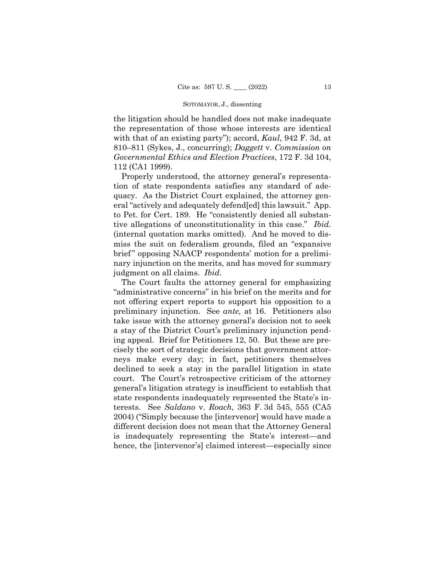the litigation should be handled does not make inadequate the representation of those whose interests are identical with that of an existing party"); accord, *Kaul*, 942 F. 3d, at 810–811 (Sykes, J., concurring); *Daggett* v. *Commission on Governmental Ethics and Election Practices*, 172 F. 3d 104, 112 (CA1 1999).

Properly understood, the attorney general's representation of state respondents satisfies any standard of adequacy. As the District Court explained, the attorney general "actively and adequately defend[ed] this lawsuit." App. to Pet. for Cert. 189. He "consistently denied all substantive allegations of unconstitutionality in this case." *Ibid.*  (internal quotation marks omitted). And he moved to dismiss the suit on federalism grounds, filed an "expansive brief" opposing NAACP respondents' motion for a preliminary injunction on the merits, and has moved for summary judgment on all claims. *Ibid*.

The Court faults the attorney general for emphasizing "administrative concerns" in his brief on the merits and for not offering expert reports to support his opposition to a preliminary injunction. See *ante,* at 16. Petitioners also take issue with the attorney general's decision not to seek a stay of the District Court's preliminary injunction pending appeal. Brief for Petitioners 12, 50. But these are precisely the sort of strategic decisions that government attorneys make every day; in fact, petitioners themselves declined to seek a stay in the parallel litigation in state court. The Court's retrospective criticism of the attorney general's litigation strategy is insufficient to establish that state respondents inadequately represented the State's interests. See *Saldano* v. *Roach*, 363 F. 3d 545, 555 (CA5 2004) ("Simply because the [intervenor] would have made a different decision does not mean that the Attorney General is inadequately representing the State's interest—and hence, the [intervenor's] claimed interest—especially since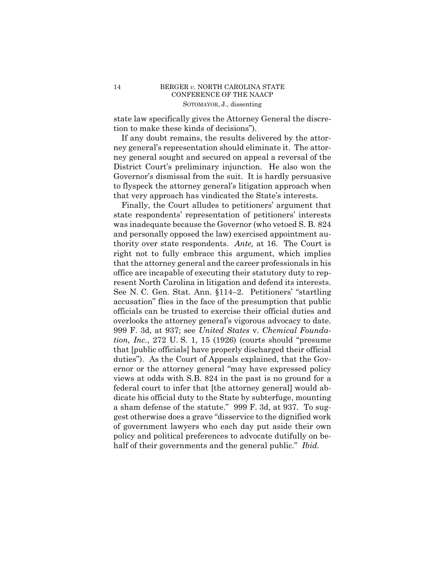state law specifically gives the Attorney General the discretion to make these kinds of decisions").

If any doubt remains, the results delivered by the attorney general's representation should eliminate it. The attorney general sought and secured on appeal a reversal of the District Court's preliminary injunction. He also won the Governor's dismissal from the suit. It is hardly persuasive to flyspeck the attorney general's litigation approach when that very approach has vindicated the State's interests.

Finally, the Court alludes to petitioners' argument that state respondents' representation of petitioners' interests was inadequate because the Governor (who vetoed S. B. 824 and personally opposed the law) exercised appointment authority over state respondents. *Ante,* at 16. The Court is right not to fully embrace this argument, which implies that the attorney general and the career professionals in his office are incapable of executing their statutory duty to represent North Carolina in litigation and defend its interests. See N. C. Gen. Stat. Ann. §114–2. Petitioners' "startling accusation" flies in the face of the presumption that public officials can be trusted to exercise their official duties and overlooks the attorney general's vigorous advocacy to date. 999 F. 3d, at 937; see *United States* v. *Chemical Foundation, Inc.*, 272 U. S. 1, 15 (1926) (courts should "presume that [public officials] have properly discharged their official duties"). As the Court of Appeals explained, that the Governor or the attorney general "may have expressed policy views at odds with S.B. 824 in the past is no ground for a federal court to infer that [the attorney general] would abdicate his official duty to the State by subterfuge, mounting a sham defense of the statute." 999 F. 3d, at 937. To suggest otherwise does a grave "disservice to the dignified work of government lawyers who each day put aside their own policy and political preferences to advocate dutifully on behalf of their governments and the general public." *Ibid.*